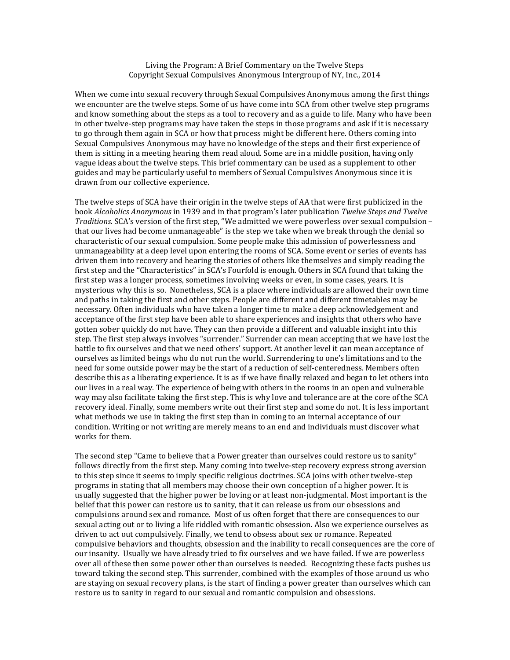## Living the Program: A Brief Commentary on the Twelve Steps Copyright Sexual Compulsives Anonymous Intergroup of NY, Inc., 2014

When we come into sexual recovery through Sexual Compulsives Anonymous among the first things we encounter are the twelve steps. Some of us have come into SCA from other twelve step programs and know something about the steps as a tool to recovery and as a guide to life. Many who have been in other twelve-step programs may have taken the steps in those programs and ask if it is necessary to go through them again in SCA or how that process might be different here. Others coming into Sexual Compulsives Anonymous may have no knowledge of the steps and their first experience of them is sitting in a meeting hearing them read aloud. Some are in a middle position, having only vague ideas about the twelve steps. This brief commentary can be used as a supplement to other guides and may be particularly useful to members of Sexual Compulsives Anonymous since it is drawn from our collective experience.

The twelve steps of SCA have their origin in the twelve steps of AA that were first publicized in the book *Alcoholics Anonymous* in 1939 and in that program's later publication *Twelve Steps and Twelve Traditions.* SCA's version of the first step, "We admitted we were powerless over sexual compulsion – that our lives had become unmanageable" is the step we take when we break through the denial so characteristic of our sexual compulsion. Some people make this admission of powerlessness and unmanageability at a deep level upon entering the rooms of SCA. Some event or series of events has driven them into recovery and hearing the stories of others like themselves and simply reading the first step and the "Characteristics" in SCA's Fourfold is enough. Others in SCA found that taking the first step was a longer process, sometimes involving weeks or even, in some cases, years. It is mysterious why this is so. Nonetheless, SCA is a place where individuals are allowed their own time and paths in taking the first and other steps. People are different and different timetables may be necessary. Often individuals who have taken a longer time to make a deep acknowledgement and acceptance of the first step have been able to share experiences and insights that others who have gotten sober quickly do not have. They can then provide a different and valuable insight into this step. The first step always involves "surrender." Surrender can mean accepting that we have lost the battle to fix ourselves and that we need others' support. At another level it can mean acceptance of ourselves as limited beings who do not run the world. Surrendering to one's limitations and to the need for some outside power may be the start of a reduction of self-centeredness. Members often describe this as a liberating experience. It is as if we have finally relaxed and began to let others into our lives in a real way. The experience of being with others in the rooms in an open and vulnerable way may also facilitate taking the first step. This is why love and tolerance are at the core of the SCA recovery ideal. Finally, some members write out their first step and some do not. It is less important what methods we use in taking the first step than in coming to an internal acceptance of our condition. Writing or not writing are merely means to an end and individuals must discover what works for them.

The second step "Came to believe that a Power greater than ourselves could restore us to sanity" follows directly from the first step. Many coming into twelve-step recovery express strong aversion to this step since it seems to imply specific religious doctrines. SCA joins with other twelve-step programs in stating that all members may choose their own conception of a higher power. It is usually suggested that the higher power be loving or at least non-judgmental. Most important is the belief that this power can restore us to sanity, that it can release us from our obsessions and compulsions around sex and romance. Most of us often forget that there are consequences to our sexual acting out or to living a life riddled with romantic obsession. Also we experience ourselves as driven to act out compulsively. Finally, we tend to obsess about sex or romance. Repeated compulsive behaviors and thoughts, obsession and the inability to recall consequences are the core of our insanity. Usually we have already tried to fix ourselves and we have failed. If we are powerless over all of these then some power other than ourselves is needed. Recognizing these facts pushes us toward taking the second step. This surrender, combined with the examples of those around us who are staying on sexual recovery plans, is the start of finding a power greater than ourselves which can restore us to sanity in regard to our sexual and romantic compulsion and obsessions.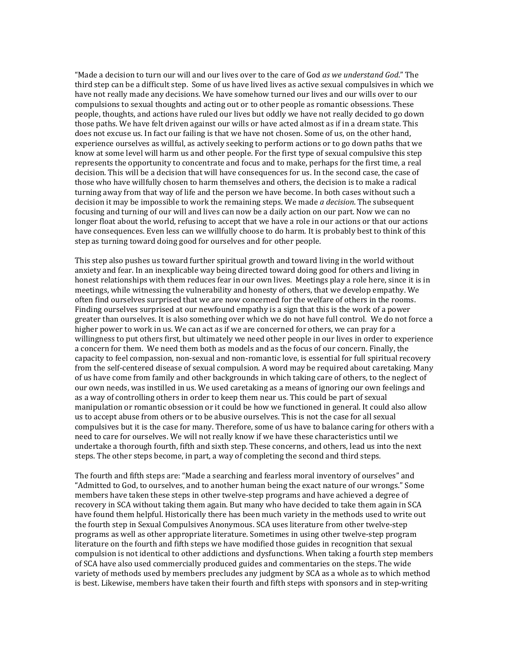"Made a decision to turn our will and our lives over to the care of God *as we understand God*." The third step can be a difficult step. Some of us have lived lives as active sexual compulsives in which we have not really made any decisions. We have somehow turned our lives and our wills over to our compulsions to sexual thoughts and acting out or to other people as romantic obsessions. These people, thoughts, and actions have ruled our lives but oddly we have not really decided to go down those paths. We have felt driven against our wills or have acted almost as if in a dream state. This does not excuse us. In fact our failing is that we have not chosen. Some of us, on the other hand, experience ourselves as willful, as actively seeking to perform actions or to go down paths that we know at some level will harm us and other people. For the first type of sexual compulsive this step represents the opportunity to concentrate and focus and to make, perhaps for the first time, a real decision. This will be a decision that will have consequences for us. In the second case, the case of those who have willfully chosen to harm themselves and others, the decision is to make a radical turning away from that way of life and the person we have become. In both cases without such a decision it may be impossible to work the remaining steps. We made *a decision*. The subsequent focusing and turning of our will and lives can now be a daily action on our part. Now we can no longer float about the world, refusing to accept that we have a role in our actions or that our actions have consequences. Even less can we willfully choose to do harm. It is probably best to think of this step as turning toward doing good for ourselves and for other people.

This step also pushes us toward further spiritual growth and toward living in the world without anxiety and fear. In an inexplicable way being directed toward doing good for others and living in honest relationships with them reduces fear in our own lives. Meetings play a role here, since it is in meetings, while witnessing the vulnerability and honesty of others, that we develop empathy. We often find ourselves surprised that we are now concerned for the welfare of others in the rooms. Finding ourselves surprised at our newfound empathy is a sign that this is the work of a power greater than ourselves. It is also something over which we do not have full control. We do not force a higher power to work in us. We can act as if we are concerned for others, we can pray for a willingness to put others first, but ultimately we need other people in our lives in order to experience a concern for them. We need them both as models and as the focus of our concern. Finally, the capacity to feel compassion, non-sexual and non-romantic love, is essential for full spiritual recovery from the self-centered disease of sexual compulsion. A word may be required about caretaking. Many of us have come from family and other backgrounds in which taking care of others, to the neglect of our own needs, was instilled in us. We used caretaking as a means of ignoring our own feelings and as a way of controlling others in order to keep them near us. This could be part of sexual manipulation or romantic obsession or it could be how we functioned in general. It could also allow us to accept abuse from others or to be abusive ourselves. This is not the case for all sexual compulsives but it is the case for many. Therefore, some of us have to balance caring for others with a need to care for ourselves. We will not really know if we have these characteristics until we undertake a thorough fourth, fifth and sixth step. These concerns, and others, lead us into the next steps. The other steps become, in part, a way of completing the second and third steps.

The fourth and fifth steps are: "Made a searching and fearless moral inventory of ourselves" and "Admitted to God, to ourselves, and to another human being the exact nature of our wrongs." Some members have taken these steps in other twelve-step programs and have achieved a degree of recovery in SCA without taking them again. But many who have decided to take them again in SCA have found them helpful. Historically there has been much variety in the methods used to write out the fourth step in Sexual Compulsives Anonymous. SCA uses literature from other twelve-step programs as well as other appropriate literature. Sometimes in using other twelve-step program literature on the fourth and fifth steps we have modified those guides in recognition that sexual compulsion is not identical to other addictions and dysfunctions. When taking a fourth step members of SCA have also used commercially produced guides and commentaries on the steps. The wide variety of methods used by members precludes any judgment by SCA as a whole as to which method is best. Likewise, members have taken their fourth and fifth steps with sponsors and in step-writing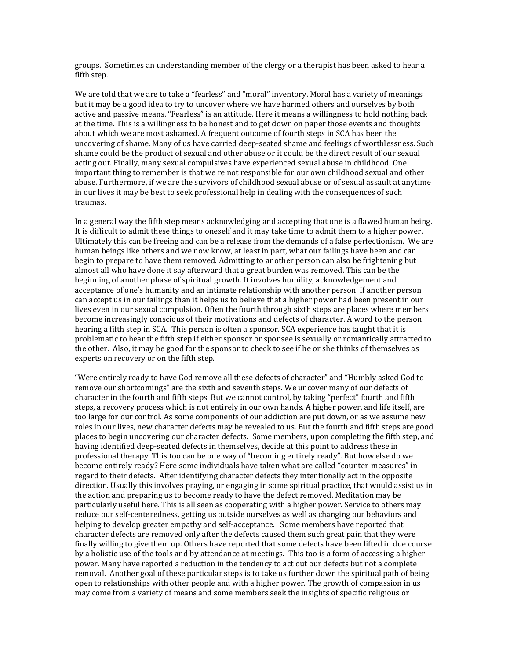groups. Sometimes an understanding member of the clergy or a therapist has been asked to hear a fifth step.

We are told that we are to take a "fearless" and "moral" inventory. Moral has a variety of meanings but it may be a good idea to try to uncover where we have harmed others and ourselves by both active and passive means. "Fearless" is an attitude. Here it means a willingness to hold nothing back at the time. This is a willingness to be honest and to get down on paper those events and thoughts about which we are most ashamed. A frequent outcome of fourth steps in SCA has been the uncovering of shame. Many of us have carried deep-seated shame and feelings of worthlessness. Such shame could be the product of sexual and other abuse or it could be the direct result of our sexual acting out. Finally, many sexual compulsives have experienced sexual abuse in childhood. One important thing to remember is that we re not responsible for our own childhood sexual and other abuse. Furthermore, if we are the survivors of childhood sexual abuse or of sexual assault at anytime in our lives it may be best to seek professional help in dealing with the consequences of such traumas.

In a general way the fifth step means acknowledging and accepting that one is a flawed human being. It is difficult to admit these things to oneself and it may take time to admit them to a higher power. Ultimately this can be freeing and can be a release from the demands of a false perfectionism. We are human beings like others and we now know, at least in part, what our failings have been and can begin to prepare to have them removed. Admitting to another person can also be frightening but almost all who have done it say afterward that a great burden was removed. This can be the beginning of another phase of spiritual growth. It involves humility, acknowledgement and acceptance of one's humanity and an intimate relationship with another person. If another person can accept us in our failings than it helps us to believe that a higher power had been present in our lives even in our sexual compulsion. Often the fourth through sixth steps are places where members become increasingly conscious of their motivations and defects of character. A word to the person hearing a fifth step in SCA. This person is often a sponsor. SCA experience has taught that it is problematic to hear the fifth step if either sponsor or sponsee is sexually or romantically attracted to the other. Also, it may be good for the sponsor to check to see if he or she thinks of themselves as experts on recovery or on the fifth step.

"Were entirely ready to have God remove all these defects of character" and "Humbly asked God to remove our shortcomings" are the sixth and seventh steps. We uncover many of our defects of character in the fourth and fifth steps. But we cannot control, by taking "perfect" fourth and fifth steps, a recovery process which is not entirely in our own hands. A higher power, and life itself, are too large for our control. As some components of our addiction are put down, or as we assume new roles in our lives, new character defects may be revealed to us. But the fourth and fifth steps are good places to begin uncovering our character defects. Some members, upon completing the fifth step, and having identified deep-seated defects in themselves, decide at this point to address these in professional therapy. This too can be one way of "becoming entirely ready". But how else do we become entirely ready? Here some individuals have taken what are called "counter-measures" in regard to their defects. After identifying character defects they intentionally act in the opposite direction. Usually this involves praying, or engaging in some spiritual practice, that would assist us in the action and preparing us to become ready to have the defect removed. Meditation may be particularly useful here. This is all seen as cooperating with a higher power. Service to others may reduce our self-centeredness, getting us outside ourselves as well as changing our behaviors and helping to develop greater empathy and self-acceptance. Some members have reported that character defects are removed only after the defects caused them such great pain that they were finally willing to give them up. Others have reported that some defects have been lifted in due course by a holistic use of the tools and by attendance at meetings. This too is a form of accessing a higher power. Many have reported a reduction in the tendency to act out our defects but not a complete removal. Another goal of these particular steps is to take us further down the spiritual path of being open to relationships with other people and with a higher power. The growth of compassion in us may come from a variety of means and some members seek the insights of specific religious or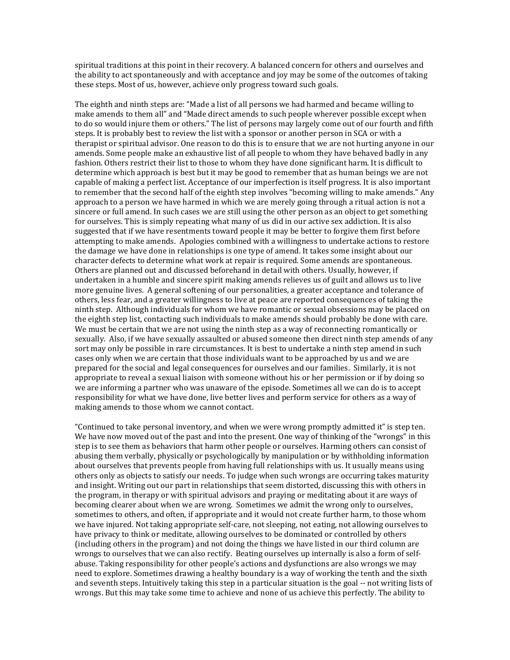spiritual traditions at this point in their recovery. A balanced concern for others and ourselves and the ability to act spontaneously and with acceptance and joy may be some of the outcomes of taking these steps. Most of us, however, achieve only progress toward such goals.

The eighth and ninth steps are: "Made a list of all persons we had harmed and became willing to make amends to them all" and "Made direct amends to such people wherever possible except when to do so would injure them or others." The list of persons may largely come out of our fourth and fifth steps. It is probably best to review the list with a sponsor or another person in SCA or with a therapist or spiritual advisor. One reason to do this is to ensure that we are not hurting anyone in our amends. Some people make an exhaustive list of all people to whom they have behaved badly in any fashion. Others restrict their list to those to whom they have done significant harm. It is difficult to determine which approach is best but it may be good to remember that as human beings we are not capable of making a perfect list. Acceptance of our imperfection is itself progress. It is also important to remember that the second half of the eighth step involves "becoming willing to make amends." Any approach to a person we have harmed in which we are merely going through a ritual action is not a sincere or full amend. In such cases we are still using the other person as an object to get something for ourselves. This is simply repeating what many of us did in our active sex addiction. It is also suggested that if we have resentments toward people it may be better to forgive them first before attempting to make amends. Apologies combined with a willingness to undertake actions to restore the damage we have done in relationships is one type of amend. It takes some insight about our character defects to determine what work at repair is required. Some amends are spontaneous. Others are planned out and discussed beforehand in detail with others. Usually, however, if undertaken in a humble and sincere spirit making amends relieves us of guilt and allows us to live more genuine lives. A general softening of our personalities, a greater acceptance and tolerance of others, less fear, and a greater willingness to live at peace are reported consequences of taking the ninth step. Although individuals for whom we have romantic or sexual obsessions may be placed on the eighth step list, contacting such individuals to make amends should probably be done with care. We must be certain that we are not using the ninth step as a way of reconnecting romantically or sexually. Also, if we have sexually assaulted or abused someone then direct ninth step amends of any sort may only be possible in rare circumstances. It is best to undertake a ninth step amend in such cases only when we are certain that those individuals want to be approached by us and we are prepared for the social and legal consequences for ourselves and our families. Similarly, it is not appropriate to reveal a sexual liaison with someone without his or her permission or if by doing so we are informing a partner who was unaware of the episode. Sometimes all we can do is to accept responsibility for what we have done, live better lives and perform service for others as a way of making amends to those whom we cannot contact.

"Continued to take personal inventory, and when we were wrong promptly admitted it" is step ten. We have now moved out of the past and into the present. One way of thinking of the "wrongs" in this step is to see them as behaviors that harm other people or ourselves. Harming others can consist of abusing them verbally, physically or psychologically by manipulation or by withholding information about ourselves that prevents people from having full relationships with us. It usually means using others only as objects to satisfy our needs. To judge when such wrongs are occurring takes maturity and insight. Writing out our part in relationships that seem distorted, discussing this with others in the program, in therapy or with spiritual advisors and praying or meditating about it are ways of becoming clearer about when we are wrong. Sometimes we admit the wrong only to ourselves, sometimes to others, and often, if appropriate and it would not create further harm, to those whom we have injured. Not taking appropriate self-care, not sleeping, not eating, not allowing ourselves to have privacy to think or meditate, allowing ourselves to be dominated or controlled by others (including others in the program) and not doing the things we have listed in our third column are wrongs to ourselves that we can also rectify. Beating ourselves up internally is also a form of selfabuse. Taking responsibility for other people's actions and dysfunctions are also wrongs we may need to explore. Sometimes drawing a healthy boundary is a way of working the tenth and the sixth and seventh steps. Intuitively taking this step in a particular situation is the goal -- not writing lists of wrongs. But this may take some time to achieve and none of us achieve this perfectly. The ability to